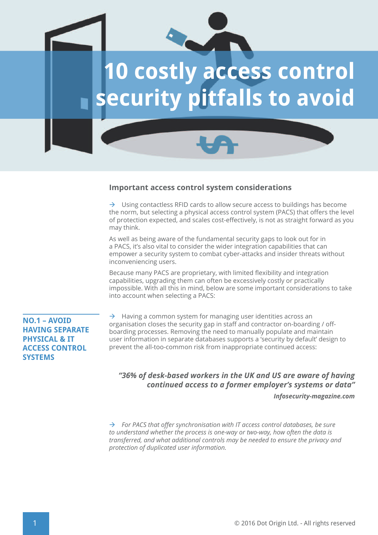

#### **Important access control system considerations**

 $\rightarrow$  Using contactless RFID cards to allow secure access to buildings has become the norm, but selecting a physical access control system (PACS) that offers the level of protection expected, and scales cost-effectively, is not as straight forward as you may think.

As well as being aware of the fundamental security gaps to look out for in a PACS, it's also vital to consider the wider integration capabilities that can empower a security system to combat cyber-attacks and insider threats without inconveniencing users.

Because many PACS are proprietary, with limited flexibility and integration capabilities, upgrading them can often be excessively costly or practically impossible. With all this in mind, below are some important considerations to take into account when selecting a PACS:

## **NO.1 – AVOID HAVING SEPARATE PHYSICAL & IT ACCESS CONTROL SYSTEMS**

 $\rightarrow$  Having a common system for managing user identities across an organisation closes the security gap in staff and contractor on-boarding / offboarding processes. Removing the need to manually populate and maintain user information in separate databases supports a 'security by default' design to prevent the all-too-common risk from inappropriate continued access:

#### *"36% of desk-based workers in the UK and US are aware of having continued access to a former employer's systems or data"*

*Infosecurity-magazine.com*

 *For PACS that offer synchronisation with IT access control databases, be sure to understand whether the process is one-way or two-way, how often the data is transferred, and what additional controls may be needed to ensure the privacy and protection of duplicated user information.*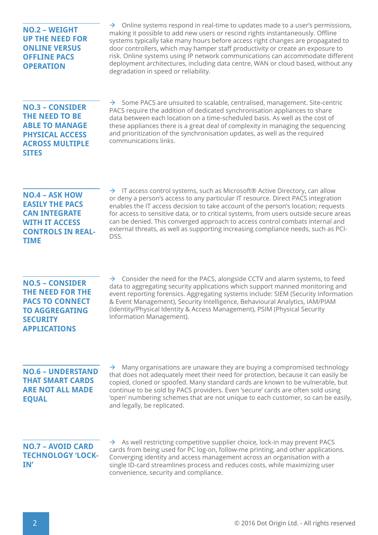## **NO.2 – WEIGHT UP THE NEED FOR ONLINE VERSUS OFFLINE PACS OPERATION**

 $\rightarrow$  Online systems respond in real-time to updates made to a user's permissions. making it possible to add new users or rescind rights instantaneously. Offline systems typically take many hours before access right changes are propagated to door controllers, which may hamper staff productivity or create an exposure to risk. Online systems using IP network communications can accommodate different deployment architectures, including data centre, WAN or cloud based, without any degradation in speed or reliability.

#### **NO.3 – CONSIDER THE NEED TO BE ABLE TO MANAGE PHYSICAL ACCESS ACROSS MULTIPLE SITES**

 $\rightarrow$  Some PACS are unsuited to scalable, centralised, management. Site-centric PACS require the addition of dedicated synchronisation appliances to share data between each location on a time-scheduled basis. As well as the cost of these appliances there is a great deal of complexity in managing the sequencing and prioritization of the synchronisation updates, as well as the required communications links.

## **NO.4 – ASK HOW EASILY THE PACS CAN INTEGRATE WITH IT ACCESS CONTROLS IN REAL-TIME**

 $\rightarrow$  IT access control systems, such as Microsoft® Active Directory, can allow or deny a person's access to any particular IT resource. Direct PACS integration enables the IT access decision to take account of the person's location; requests for access to sensitive data, or to critical systems, from users outside secure areas can be denied. This converged approach to access control combats internal and external threats, as well as supporting increasing compliance needs, such as PCI-DSS.

# **NO.5 – CONSIDER THE NEED FOR THE PACS TO CONNECT TO AGGREGATING SECURITY APPLICATIONS**

 $\rightarrow$  Consider the need for the PACS, alongside CCTV and alarm systems, to feed data to aggregating security applications which support manned monitoring and event reporting forensics. Aggregating systems include: SIEM (Security Information & Event Management), Security Intelligence, Behavioural Analytics, IAM/PIAM (Identity/Physical Identity & Access Management), PSIM (Physical Security Information Management).

## **NO.6 – UNDERSTAND THAT SMART CARDS ARE NOT ALL MADE EQUAL**

 $\rightarrow$  Many organisations are unaware they are buying a compromised technology that does not adequately meet their need for protection, because it can easily be copied, cloned or spoofed. Many standard cards are known to be vulnerable, but continue to be sold by PACS providers. Even 'secure' cards are often sold using 'open' numbering schemes that are not unique to each customer, so can be easily, and legally, be replicated.

# **NO.7 – AVOID CARD TECHNOLOGY 'LOCK-IN'**

 $\rightarrow$  As well restricting competitive supplier choice, lock-in may prevent PACS cards from being used for PC log-on, follow-me printing, and other applications. Converging identity and access management across an organisation with a single ID-card streamlines process and reduces costs, while maximizing user convenience, security and compliance.